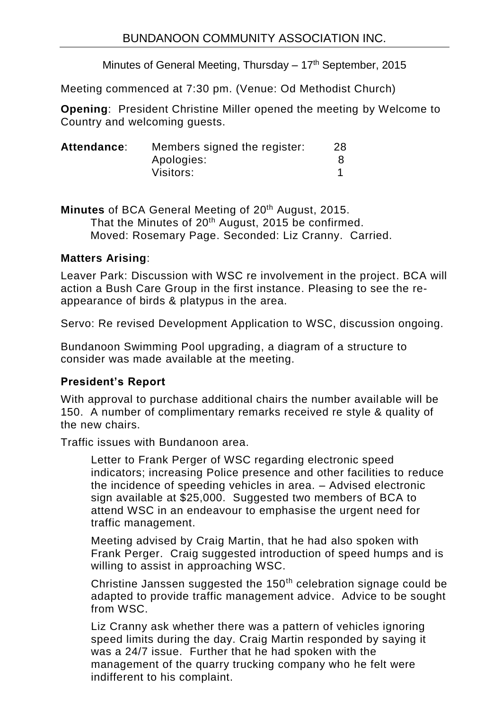Minutes of General Meeting, Thursday  $-17<sup>th</sup>$  September, 2015

Meeting commenced at 7:30 pm. (Venue: Od Methodist Church)

**Opening**: President Christine Miller opened the meeting by Welcome to Country and welcoming guests.

| Members signed the register: | 28 |
|------------------------------|----|
| Apologies:                   |    |
| Visitors:                    |    |
|                              |    |

**Minutes** of BCA General Meeting of 20<sup>th</sup> August, 2015. That the Minutes of 20<sup>th</sup> August, 2015 be confirmed. Moved: Rosemary Page. Seconded: Liz Cranny. Carried.

## **Matters Arising**:

Leaver Park: Discussion with WSC re involvement in the project. BCA will action a Bush Care Group in the first instance. Pleasing to see the reappearance of birds & platypus in the area.

Servo: Re revised Development Application to WSC, discussion ongoing.

Bundanoon Swimming Pool upgrading, a diagram of a structure to consider was made available at the meeting.

# **President's Report**

With approval to purchase additional chairs the number available will be 150. A number of complimentary remarks received re style & quality of the new chairs.

Traffic issues with Bundanoon area.

Letter to Frank Perger of WSC regarding electronic speed indicators; increasing Police presence and other facilities to reduce the incidence of speeding vehicles in area. – Advised electronic sign available at \$25,000. Suggested two members of BCA to attend WSC in an endeavour to emphasise the urgent need for traffic management.

Meeting advised by Craig Martin, that he had also spoken with Frank Perger. Craig suggested introduction of speed humps and is willing to assist in approaching WSC.

Christine Janssen suggested the 150<sup>th</sup> celebration signage could be adapted to provide traffic management advice. Advice to be sought from WSC.

Liz Cranny ask whether there was a pattern of vehicles ignoring speed limits during the day. Craig Martin responded by saying it was a 24/7 issue. Further that he had spoken with the management of the quarry trucking company who he felt were indifferent to his complaint.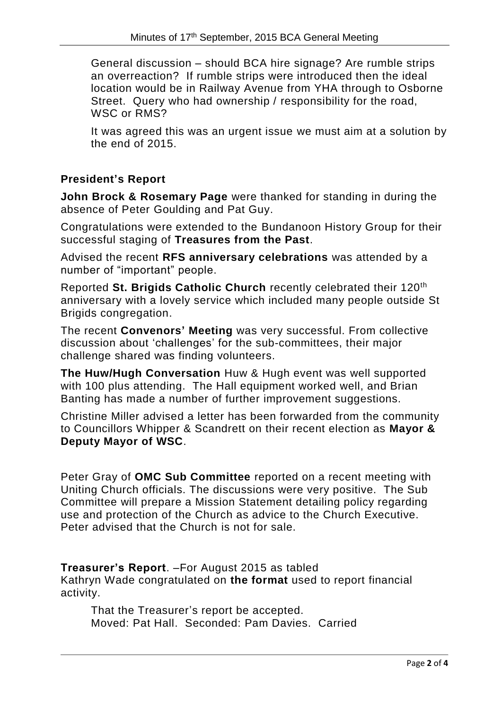General discussion – should BCA hire signage? Are rumble strips an overreaction? If rumble strips were introduced then the ideal location would be in Railway Avenue from YHA through to Osborne Street. Query who had ownership / responsibility for the road, WSC or RMS?

It was agreed this was an urgent issue we must aim at a solution by the end of 2015.

## **President's Report**

**John Brock & Rosemary Page** were thanked for standing in during the absence of Peter Goulding and Pat Guy.

Congratulations were extended to the Bundanoon History Group for their successful staging of **Treasures from the Past**.

Advised the recent **RFS anniversary celebrations** was attended by a number of "important" people.

Reported **St. Brigids Catholic Church** recently celebrated their 120th anniversary with a lovely service which included many people outside St Brigids congregation.

The recent **Convenors' Meeting** was very successful. From collective discussion about 'challenges' for the sub-committees, their major challenge shared was finding volunteers.

**The Huw/Hugh Conversation** Huw & Hugh event was well supported with 100 plus attending. The Hall equipment worked well, and Brian Banting has made a number of further improvement suggestions.

Christine Miller advised a letter has been forwarded from the community to Councillors Whipper & Scandrett on their recent election as **Mayor & Deputy Mayor of WSC**.

Peter Gray of **OMC Sub Committee** reported on a recent meeting with Uniting Church officials. The discussions were very positive. The Sub Committee will prepare a Mission Statement detailing policy regarding use and protection of the Church as advice to the Church Executive. Peter advised that the Church is not for sale.

**Treasurer's Report**. –For August 2015 as tabled Kathryn Wade congratulated on **the format** used to report financial activity.

That the Treasurer's report be accepted. Moved: Pat Hall. Seconded: Pam Davies. Carried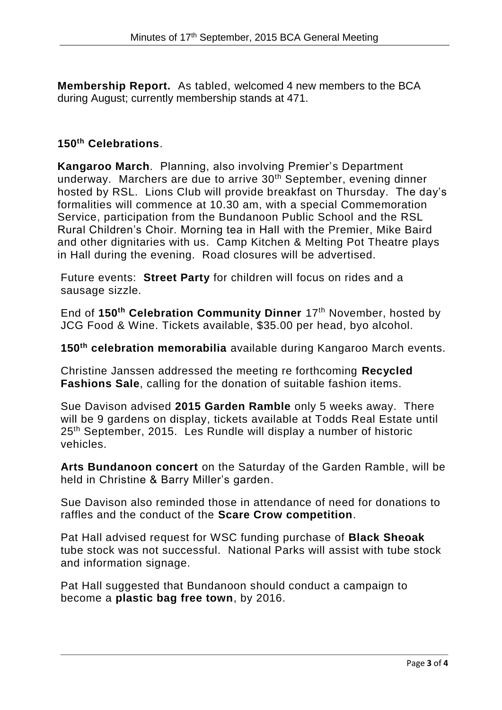**Membership Report.** As tabled, welcomed 4 new members to the BCA during August; currently membership stands at 471.

### **150th Celebrations**.

**Kangaroo March**. Planning, also involving Premier's Department underway. Marchers are due to arrive 30th September, evening dinner hosted by RSL. Lions Club will provide breakfast on Thursday. The day's formalities will commence at 10.30 am, with a special Commemoration Service, participation from the Bundanoon Public School and the RSL Rural Children's Choir. Morning tea in Hall with the Premier, Mike Baird and other dignitaries with us. Camp Kitchen & Melting Pot Theatre plays in Hall during the evening. Road closures will be advertised.

Future events: **Street Party** for children will focus on rides and a sausage sizzle.

End of **150th Celebration Community Dinner** 17th November, hosted by JCG Food & Wine. Tickets available, \$35.00 per head, byo alcohol.

**150th celebration memorabilia** available during Kangaroo March events.

Christine Janssen addressed the meeting re forthcoming **Recycled Fashions Sale**, calling for the donation of suitable fashion items.

Sue Davison advised **2015 Garden Ramble** only 5 weeks away. There will be 9 gardens on display, tickets available at Todds Real Estate until 25th September, 2015. Les Rundle will display a number of historic vehicles.

**Arts Bundanoon concert** on the Saturday of the Garden Ramble, will be held in Christine & Barry Miller's garden.

Sue Davison also reminded those in attendance of need for donations to raffles and the conduct of the **Scare Crow competition**.

Pat Hall advised request for WSC funding purchase of **Black Sheoak** tube stock was not successful. National Parks will assist with tube stock and information signage.

Pat Hall suggested that Bundanoon should conduct a campaign to become a **plastic bag free town**, by 2016.